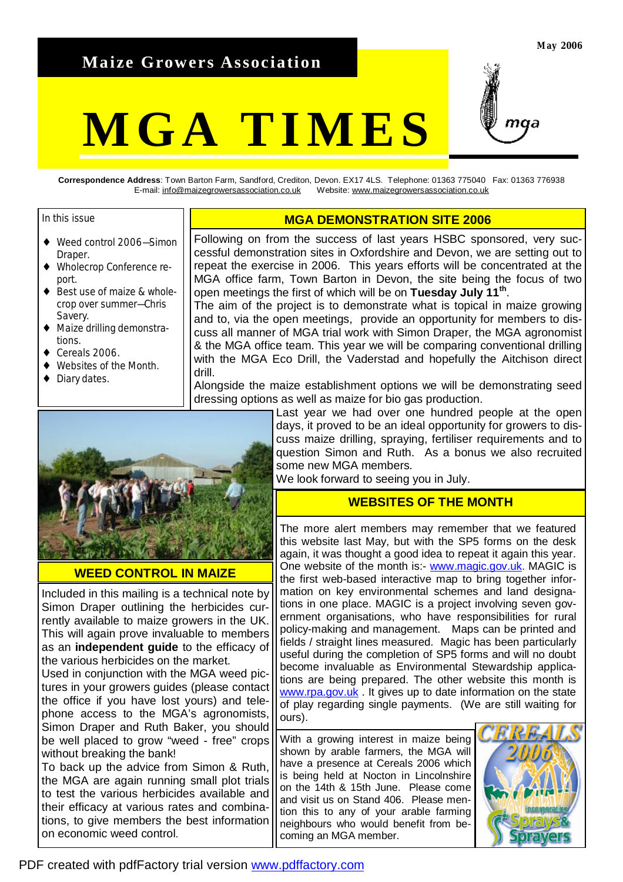## **Maize Growers Association**

# **MGA TIMES**



**Correspondence Address**: Town Barton Farm, Sandford, Crediton, Devon. EX17 4LS. Telephone: 01363 775040 Fax: 01363 776938 E-mail: [info@maizegrowersassociation.co.uk](mailto:info@maizegrowersassociation.co.uk) Website: [www.maizegrowersassociation.co.uk](http://www.maizegrowersassociation.co.uk)

#### In this issue

- ♦ Weed control 2006—Simon Draper.
- ♦ Wholecrop Conference report.
- ♦ Best use of maize & wholecrop over summer—Chris Savery.
- Maize drilling demonstrations.
- Cereals 2006
- Websites of the Month.
- Diary dates.

#### **MGA DEMONSTRATION SITE 2006**

Following on from the success of last years HSBC sponsored, very successful demonstration sites in Oxfordshire and Devon, we are setting out to repeat the exercise in 2006. This years efforts will be concentrated at the MGA office farm, Town Barton in Devon, the site being the focus of two open meetings the first of which will be on **Tuesday July 11th** .

The aim of the project is to demonstrate what is topical in maize growing and to, via the open meetings, provide an opportunity for members to discuss all manner of MGA trial work with Simon Draper, the MGA agronomist & the MGA office team. This year we will be comparing conventional drilling with the MGA Eco Drill, the Vaderstad and hopefully the Aitchison direct drill.

Alongside the maize establishment options we will be demonstrating seed dressing options as well as maize for bio gas production.



#### **WEED CONTROL IN MAIZE**

Included in this mailing is a technical note by Simon Draper outlining the herbicides currently available to maize growers in the UK. This will again prove invaluable to members as an **independent guide** to the efficacy of the various herbicides on the market.

Used in conjunction with the MGA weed pictures in your growers guides (please contact the office if you have lost yours) and telephone access to the MGA's agronomists, Simon Draper and Ruth Baker, you should be well placed to grow "weed - free" crops without breaking the bank!

To back up the advice from Simon & Ruth, the MGA are again running small plot trials to test the various herbicides available and their efficacy at various rates and combinations, to give members the best information on economic weed control.

Last year we had over one hundred people at the open days, it proved to be an ideal opportunity for growers to discuss maize drilling, spraying, fertiliser requirements and to question Simon and Ruth. As a bonus we also recruited some new MGA members.

We look forward to seeing you in July.

#### **WEBSITES OF THE MONTH**

The more alert members may remember that we featured this website last May, but with the SP5 forms on the desk again, it was thought a good idea to repeat it again this year. One website of the month is:- [www.magic.gov.uk](http://www.magic.gov.uk). MAGIC is the first web-based interactive map to bring together information on key environmental schemes and land designations in one place. MAGIC is a project involving seven government organisations, who have responsibilities for rural policy-making and management. Maps can be printed and fields / straight lines measured. Magic has been particularly useful during the completion of SP5 forms and will no doubt become invaluable as Environmental Stewardship applications are being prepared. The other website this month is [www.rpa.gov.uk](http://www.rpa.gov.uk) . It gives up to date information on the state of play regarding single payments. (We are still waiting for ours).

With a growing interest in maize being shown by arable farmers, the MGA will have a presence at Cereals 2006 which is being held at Nocton in Lincolnshire on the 14th & 15th June. Please come and visit us on Stand 406. Please mention this to any of your arable farming neighbours who would benefit from becoming an MGA member.